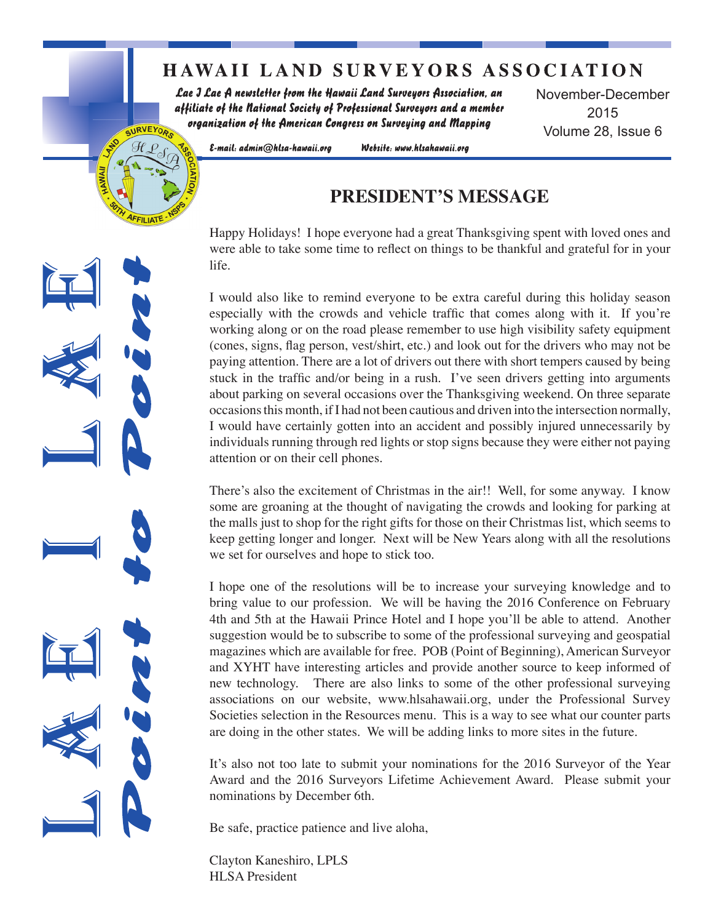## **HAWAII LAND SURVEYORS ASSOCIATION**

Lae J Lae A newsletter from the Hawaii Land Surveyors Association, an affiliate of the National Society of Professional Surveyors and a member organization of the American Congress on Surveying and Mapping

November-December 2015 Volume 28, Issue 6

E-mail: admin@hlsa-hawaii.org

SURVEYORS

Website: www.hlsahawaii.org

### **PRESIDENT'S MESSAGE**

Happy Holidays! I hope everyone had a great Thanksgiving spent with loved ones and were able to take some time to reflect on things to be thankful and grateful for in your life.

I would also like to remind everyone to be extra careful during this holiday season especially with the crowds and vehicle traffic that comes along with it. If you're working along or on the road please remember to use high visibility safety equipment (cones, signs, flag person, vest/shirt, etc.) and look out for the drivers who may not be paying attention. There are a lot of drivers out there with short tempers caused by being stuck in the traffic and/or being in a rush. I've seen drivers getting into arguments about parking on several occasions over the Thanksgiving weekend. On three separate occasions this month, if I had not been cautious and driven into the intersection normally, I would have certainly gotten into an accident and possibly injured unnecessarily by individuals running through red lights or stop signs because they were either not paying attention or on their cell phones.

There's also the excitement of Christmas in the air!! Well, for some anyway. I know some are groaning at the thought of navigating the crowds and looking for parking at the malls just to shop for the right gifts for those on their Christmas list, which seems to keep getting longer and longer. Next will be New Years along with all the resolutions we set for ourselves and hope to stick too.

I hope one of the resolutions will be to increase your surveying knowledge and to bring value to our profession. We will be having the 2016 Conference on February 4th and 5th at the Hawaii Prince Hotel and I hope you'll be able to attend. Another suggestion would be to subscribe to some of the professional surveying and geospatial magazines which are available for free. POB (Point of Beginning), American Surveyor and XYHT have interesting articles and provide another source to keep informed of new technology. There are also links to some of the other professional surveying associations on our website, www.hlsahawaii.org, under the Professional Survey Societies selection in the Resources menu. This is a way to see what our counter parts are doing in the other states. We will be adding links to more sites in the future.

It's also not too late to submit your nominations for the 2016 Surveyor of the Year Award and the 2016 Surveyors Lifetime Achievement Award. Please submit your nominations by December 6th.

Be safe, practice patience and live aloha,

Clayton Kaneshiro, LPLS HLSA President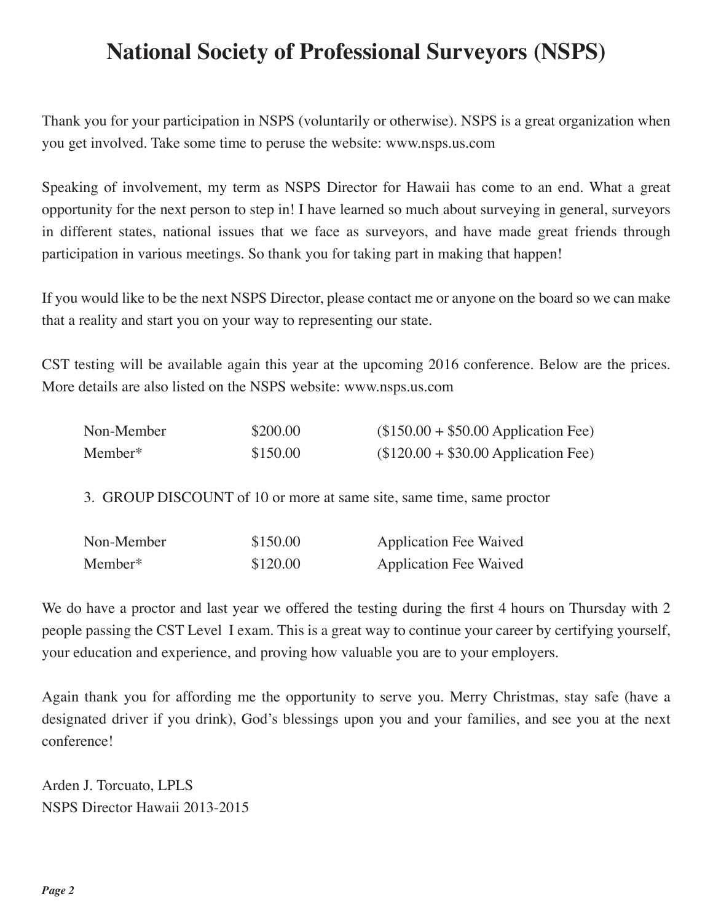# **National Society of Professional Surveyors (NSPS)**

Thank you for your participation in NSPS (voluntarily or otherwise). NSPS is a great organization when you get involved. Take some time to peruse the website: www.nsps.us.com

Speaking of involvement, my term as NSPS Director for Hawaii has come to an end. What a great opportunity for the next person to step in! I have learned so much about surveying in general, surveyors in different states, national issues that we face as surveyors, and have made great friends through participation in various meetings. So thank you for taking part in making that happen!

If you would like to be the next NSPS Director, please contact me or anyone on the board so we can make that a reality and start you on your way to representing our state.

CST testing will be available again this year at the upcoming 2016 conference. Below are the prices. More details are also listed on the NSPS website: www.nsps.us.com

| Non-Member | \$200.00 | $($150.00 + $50.00$ Application Fee) |
|------------|----------|--------------------------------------|
| Member*    | \$150.00 | $($120.00 + $30.00$ Application Fee) |

3. GROUP DISCOUNT of 10 or more at same site, same time, same proctor

| Non-Member | \$150.00 | <b>Application Fee Waived</b> |
|------------|----------|-------------------------------|
| Member*    | \$120.00 | <b>Application Fee Waived</b> |

We do have a proctor and last year we offered the testing during the first 4 hours on Thursday with 2 people passing the CST Level I exam. This is a great way to continue your career by certifying yourself, your education and experience, and proving how valuable you are to your employers.

Again thank you for affording me the opportunity to serve you. Merry Christmas, stay safe (have a designated driver if you drink), God's blessings upon you and your families, and see you at the next conference!

Arden J. Torcuato, LPLS NSPS Director Hawaii 2013-2015